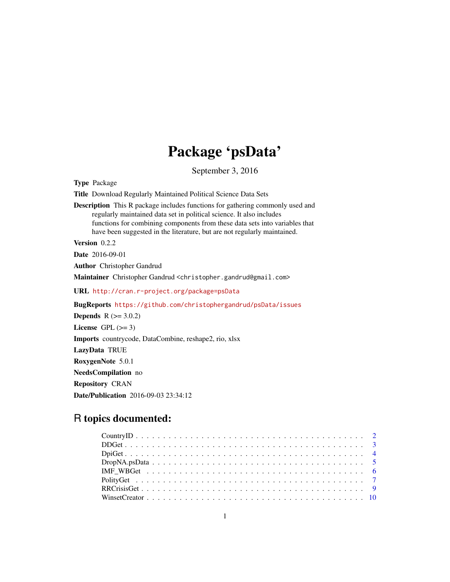## Package 'psData'

September 3, 2016

<span id="page-0-0"></span>Type Package Title Download Regularly Maintained Political Science Data Sets Description This R package includes functions for gathering commonly used and regularly maintained data set in political science. It also includes functions for combining components from these data sets into variables that have been suggested in the literature, but are not regularly maintained. Version 0.2.2 Date 2016-09-01 Author Christopher Gandrud Maintainer Christopher Gandrud <christopher.gandrud@gmail.com> URL <http://cran.r-project.org/package=psData> BugReports <https://github.com/christophergandrud/psData/issues> **Depends**  $R$  ( $>= 3.0.2$ ) License GPL  $(>= 3)$ Imports countrycode, DataCombine, reshape2, rio, xlsx LazyData TRUE

RoxygenNote 5.0.1 NeedsCompilation no Repository CRAN

Date/Publication 2016-09-03 23:34:12

## R topics documented: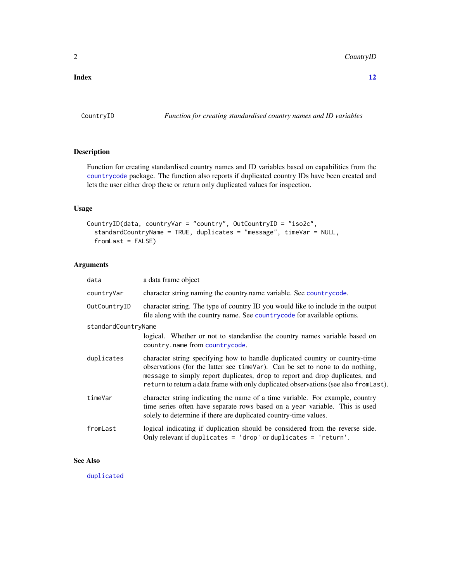#### <span id="page-1-0"></span>**Index** [12](#page-11-0)

<span id="page-1-1"></span>CountryID *Function for creating standardised country names and ID variables*

## Description

Function for creating standardised country names and ID variables based on capabilities from the [countrycode](#page-0-0) package. The function also reports if duplicated country IDs have been created and lets the user either drop these or return only duplicated values for inspection.

## Usage

```
CountryID(data, countryVar = "country", OutCountryID = "iso2c",
  standardCountryName = TRUE, duplicates = "message", timeVar = NULL,
  fromLast = FALSE)
```
## Arguments

| data                | a data frame object                                                                                                                                                                                                                                                                                                                   |
|---------------------|---------------------------------------------------------------------------------------------------------------------------------------------------------------------------------------------------------------------------------------------------------------------------------------------------------------------------------------|
| countryVar          | character string naming the country name variable. See country code.                                                                                                                                                                                                                                                                  |
| OutCountryID        | character string. The type of country ID you would like to include in the output<br>file along with the country name. See countrycode for available options.                                                                                                                                                                          |
| standardCountryName |                                                                                                                                                                                                                                                                                                                                       |
|                     | logical. Whether or not to standardise the country names variable based on<br>country.name from countrycode.                                                                                                                                                                                                                          |
| duplicates          | character string specifying how to handle duplicated country or country-time<br>observations (for the latter see time Var). Can be set to none to do nothing,<br>message to simply report duplicates, drop to report and drop duplicates, and<br>return to return a data frame with only duplicated observations (see also fromLast). |
| timeVar             | character string indicating the name of a time variable. For example, country<br>time series often have separate rows based on a year variable. This is used<br>solely to determine if there are duplicated country-time values.                                                                                                      |
| fromLast            | logical indicating if duplication should be considered from the reverse side.<br>Only relevant if duplicates = $drop'$ or duplicates = $'return'.$                                                                                                                                                                                    |

## See Also

[duplicated](#page-0-0)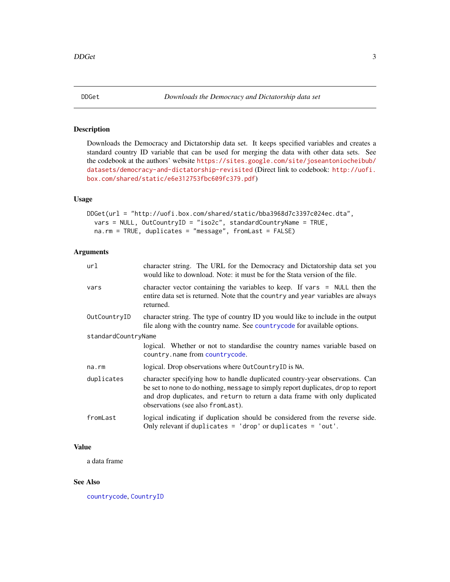<span id="page-2-0"></span>

## Description

Downloads the Democracy and Dictatorship data set. It keeps specified variables and creates a standard country ID variable that can be used for merging the data with other data sets. See the codebook at the authors' website [https://sites.google.com/site/joseantoniocheibub/](https://sites.google.com/site/joseantoniocheibub/datasets/democracy-and-dictatorship-revisited) [datasets/democracy-and-dictatorship-revisited](https://sites.google.com/site/joseantoniocheibub/datasets/democracy-and-dictatorship-revisited) (Direct link to codebook: [http://uofi.](http://uofi.box.com/shared/static/e6e312753fbc609fc379.pdf) [box.com/shared/static/e6e312753fbc609fc379.pdf](http://uofi.box.com/shared/static/e6e312753fbc609fc379.pdf))

#### Usage

```
DDGet(url = "http://uofi.box.com/shared/static/bba3968d7c3397c024ec.dta",
  vars = NULL, OutCountryID = "iso2c", standardCountryName = TRUE,
  na.rm = TRUE, duplicates = "message", fromLast = FALSE)
```
#### Arguments

| url                 | character string. The URL for the Democracy and Dictatorship data set you<br>would like to download. Note: it must be for the Stata version of the file.                                                                                                                               |
|---------------------|----------------------------------------------------------------------------------------------------------------------------------------------------------------------------------------------------------------------------------------------------------------------------------------|
| vars                | character vector containing the variables to keep. If vars $=$ NULL then the<br>entire data set is returned. Note that the country and year variables are always<br>returned.                                                                                                          |
| OutCountryID        | character string. The type of country ID you would like to include in the output<br>file along with the country name. See countrycode for available options.                                                                                                                           |
| standardCountryName |                                                                                                                                                                                                                                                                                        |
|                     | logical. Whether or not to standardise the country names variable based on<br>country.name from countrycode.                                                                                                                                                                           |
| na.rm               | logical. Drop observations where OutCountryID is NA.                                                                                                                                                                                                                                   |
| duplicates          | character specifying how to handle duplicated country-year observations. Can<br>be set to none to do nothing, message to simply report duplicates, drop to report<br>and drop duplicates, and return to return a data frame with only duplicated<br>observations (see also from Last). |
| fromLast            | logical indicating if duplication should be considered from the reverse side.<br>Only relevant if duplicates = $'drop'$ or duplicates = $'out'.$                                                                                                                                       |

#### Value

a data frame

#### See Also

[countrycode](#page-0-0), [CountryID](#page-1-1)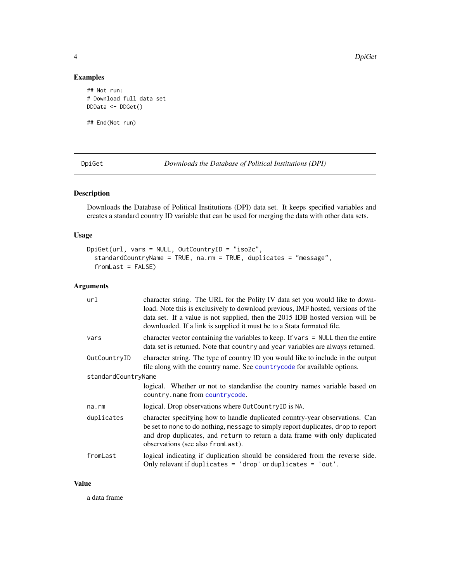## Examples

```
## Not run:
# Download full data set
DDData <- DDGet()
```
## End(Not run)

<span id="page-3-1"></span>DpiGet *Downloads the Database of Political Institutions (DPI)*

## Description

Downloads the Database of Political Institutions (DPI) data set. It keeps specified variables and creates a standard country ID variable that can be used for merging the data with other data sets.

## Usage

```
DpiGet(url, vars = NULL, OutCountryID = "iso2c",
  standardCountryName = TRUE, na.rm = TRUE, duplicates = "message",
  fromLast = FALSE)
```
## Arguments

| url                 | character string. The URL for the Polity IV data set you would like to down-<br>load. Note this is exclusively to download previous, IMF hosted, versions of the<br>data set. If a value is not supplied, then the 2015 IDB hosted version will be<br>downloaded. If a link is supplied it must be to a Stata formated file. |
|---------------------|------------------------------------------------------------------------------------------------------------------------------------------------------------------------------------------------------------------------------------------------------------------------------------------------------------------------------|
| vars                | character vector containing the variables to keep. If vars $=$ NULL then the entire<br>data set is returned. Note that country and year variables are always returned.                                                                                                                                                       |
| OutCountryID        | character string. The type of country ID you would like to include in the output<br>file along with the country name. See countrycode for available options.                                                                                                                                                                 |
| standardCountryName |                                                                                                                                                                                                                                                                                                                              |
|                     | logical. Whether or not to standardise the country names variable based on<br>country.name from countrycode.                                                                                                                                                                                                                 |
| na.rm               | logical. Drop observations where OutCountryID is NA.                                                                                                                                                                                                                                                                         |
| duplicates          | character specifying how to handle duplicated country-year observations. Can<br>be set to none to do nothing, message to simply report duplicates, drop to report<br>and drop duplicates, and return to return a data frame with only duplicated<br>observations (see also from Last).                                       |
| fromLast            | logical indicating if duplication should be considered from the reverse side.<br>Only relevant if duplicates = $'drop'$ or duplicates = $'out'.$                                                                                                                                                                             |

#### Value

a data frame

<span id="page-3-0"></span>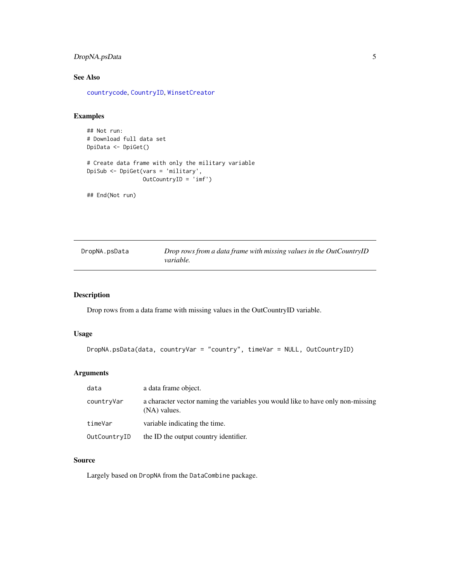## <span id="page-4-0"></span>DropNA.psData 5

## See Also

[countrycode](#page-0-0), [CountryID](#page-1-1), [WinsetCreator](#page-9-1)

#### Examples

```
## Not run:
# Download full data set
DpiData <- DpiGet()
# Create data frame with only the military variable
DpiSub <- DpiGet(vars = 'military',
                OutCountryID = 'imf')
```
## End(Not run)

| Drop rows from a data frame with missing values in the OutCountryID<br>DropNA.psData<br><i>variable.</i> |
|----------------------------------------------------------------------------------------------------------|
|----------------------------------------------------------------------------------------------------------|

## Description

Drop rows from a data frame with missing values in the OutCountryID variable.

#### Usage

```
DropNA.psData(data, countryVar = "country", timeVar = NULL, OutCountryID)
```
## Arguments

| data         | a data frame object.                                                                            |
|--------------|-------------------------------------------------------------------------------------------------|
| countryVar   | a character vector naming the variables you would like to have only non-missing<br>(NA) values. |
| timeVar      | variable indicating the time.                                                                   |
| OutCountryID | the ID the output country identifier.                                                           |

#### Source

Largely based on DropNA from the DataCombine package.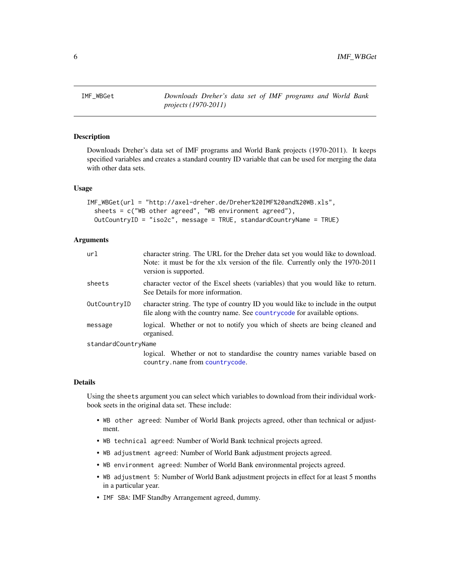<span id="page-5-0"></span>

## **Description**

Downloads Dreher's data set of IMF programs and World Bank projects (1970-2011). It keeps specified variables and creates a standard country ID variable that can be used for merging the data with other data sets.

#### Usage

```
IMF_WBGet(url = "http://axel-dreher.de/Dreher%20IMF%20and%20WB.xls",
  sheets = c("WB other agreed", "WB environment agreed"),OutCountryID = "iso2c", message = TRUE, standardCountryName = TRUE)
```
#### Arguments

| url                 | character string. The URL for the Dreher data set you would like to download.<br>Note: it must be for the xlx version of the file. Currently only the 1970-2011<br>version is supported. |
|---------------------|------------------------------------------------------------------------------------------------------------------------------------------------------------------------------------------|
| sheets              | character vector of the Excel sheets (variables) that you would like to return.<br>See Details for more information.                                                                     |
| OutCountryID        | character string. The type of country ID you would like to include in the output<br>file along with the country name. See countrycode for available options.                             |
| message             | logical. Whether or not to notify you which of sheets are being cleaned and<br>organised.                                                                                                |
| standardCountryName |                                                                                                                                                                                          |
|                     | logical. Whether or not to standardise the country names variable based on<br>country.name from countrycode.                                                                             |

#### Details

Using the sheets argument you can select which variables to download from their individual workbook seets in the original data set. These include:

- WB other agreed: Number of World Bank projects agreed, other than technical or adjustment.
- WB technical agreed: Number of World Bank technical projects agreed.
- WB adjustment agreed: Number of World Bank adjustment projects agreed.
- WB environment agreed: Number of World Bank environmental projects agreed.
- WB adjustment 5: Number of World Bank adjustment projects in effect for at least 5 months in a particular year.
- IMF SBA: IMF Standby Arrangement agreed, dummy.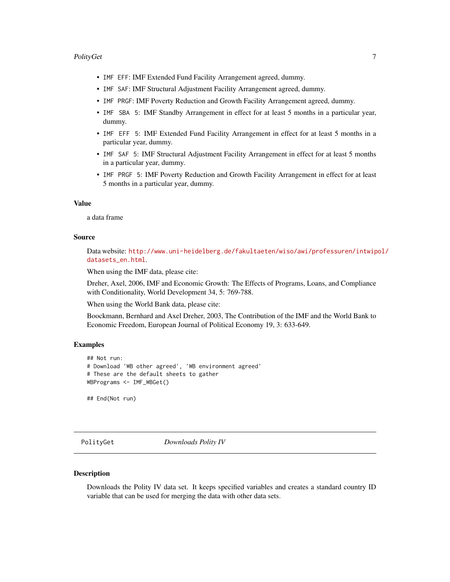#### <span id="page-6-0"></span>PolityGet 7 and 2012 19:00 the contract of the contract of the contract of the contract of the contract of the contract of the contract of the contract of the contract of the contract of the contract of the contract of the

- IMF EFF: IMF Extended Fund Facility Arrangement agreed, dummy.
- IMF SAF: IMF Structural Adjustment Facility Arrangement agreed, dummy.
- IMF PRGF: IMF Poverty Reduction and Growth Facility Arrangement agreed, dummy.
- IMF SBA 5: IMF Standby Arrangement in effect for at least 5 months in a particular year, dummy.
- IMF EFF 5: IMF Extended Fund Facility Arrangement in effect for at least 5 months in a particular year, dummy.
- IMF SAF 5: IMF Structural Adjustment Facility Arrangement in effect for at least 5 months in a particular year, dummy.
- IMF PRGF 5: IMF Poverty Reduction and Growth Facility Arrangement in effect for at least 5 months in a particular year, dummy.

#### Value

a data frame

#### Source

Data website: [http://www.uni-heidelberg.de/fakultaeten/wiso/awi/professuren/intwip](http://www.uni-heidelberg.de/fakultaeten/wiso/awi/professuren/intwipol/datasets_en.html)ol/ [datasets\\_en.html](http://www.uni-heidelberg.de/fakultaeten/wiso/awi/professuren/intwipol/datasets_en.html).

When using the IMF data, please cite:

Dreher, Axel, 2006, IMF and Economic Growth: The Effects of Programs, Loans, and Compliance with Conditionality, World Development 34, 5: 769-788.

When using the World Bank data, please cite:

Boockmann, Bernhard and Axel Dreher, 2003, The Contribution of the IMF and the World Bank to Economic Freedom, European Journal of Political Economy 19, 3: 633-649.

#### Examples

```
## Not run:
# Download 'WB other agreed', 'WB environment agreed'
# These are the default sheets to gather
WBPrograms <- IMF_WBGet()
```
## End(Not run)

<span id="page-6-1"></span>PolityGet *Downloads Polity IV*

#### Description

Downloads the Polity IV data set. It keeps specified variables and creates a standard country ID variable that can be used for merging the data with other data sets.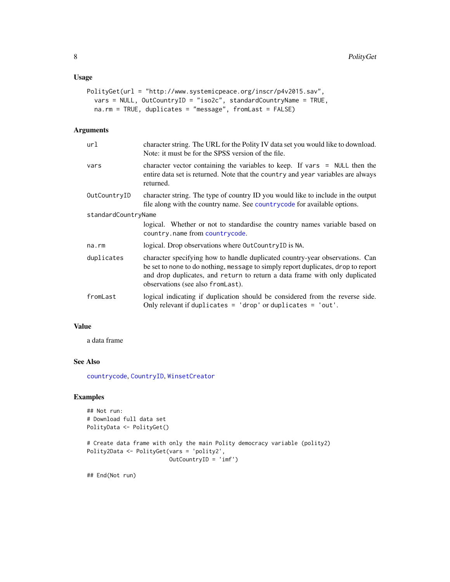#### <span id="page-7-0"></span>Usage

```
PolityGet(url = "http://www.systemicpeace.org/inscr/p4v2015.sav",
 vars = NULL, OutCountryID = "iso2c", standardCountryName = TRUE,
 na.rm = TRUE, duplicates = "message", fromLast = FALSE)
```
#### Arguments

| url                 | character string. The URL for the Polity IV data set you would like to download.<br>Note: it must be for the SPSS version of the file.                                                                                                                                                 |  |
|---------------------|----------------------------------------------------------------------------------------------------------------------------------------------------------------------------------------------------------------------------------------------------------------------------------------|--|
| vars                | character vector containing the variables to keep. If vars $=$ NULL then the<br>entire data set is returned. Note that the country and year variables are always<br>returned.                                                                                                          |  |
| OutCountryID        | character string. The type of country ID you would like to include in the output<br>file along with the country name. See countrycode for available options.                                                                                                                           |  |
| standardCountryName |                                                                                                                                                                                                                                                                                        |  |
|                     | logical. Whether or not to standardise the country names variable based on<br>country.name from countrycode.                                                                                                                                                                           |  |
| na.rm               | logical. Drop observations where OutCountryID is NA.                                                                                                                                                                                                                                   |  |
| duplicates          | character specifying how to handle duplicated country-year observations. Can<br>be set to none to do nothing, message to simply report duplicates, drop to report<br>and drop duplicates, and return to return a data frame with only duplicated<br>observations (see also from Last). |  |
| fromLast            | logical indicating if duplication should be considered from the reverse side.<br>Only relevant if duplicates = $'drop'$ or duplicates = $'out'.$                                                                                                                                       |  |

#### Value

a data frame

## See Also

[countrycode](#page-0-0), [CountryID](#page-1-1), [WinsetCreator](#page-9-1)

#### Examples

```
## Not run:
# Download full data set
PolityData <- PolityGet()
```

```
# Create data frame with only the main Polity democracy variable (polity2)
Polity2Data <- PolityGet(vars = 'polity2',
                        OutCountryID = 'imf')
```
## End(Not run)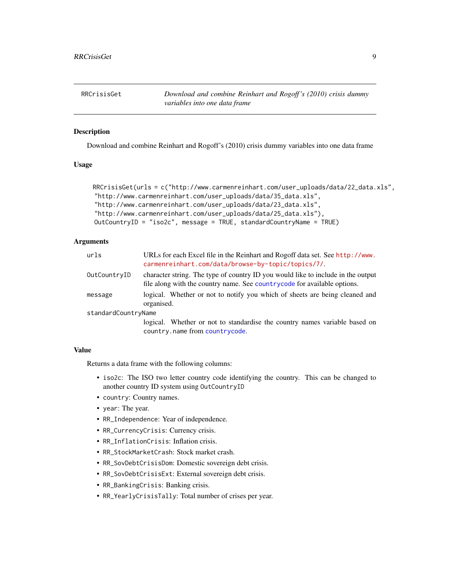<span id="page-8-0"></span>

#### **Description**

Download and combine Reinhart and Rogoff's (2010) crisis dummy variables into one data frame

#### Usage

```
RRCrisisGet(urls = c("http://www.carmenreinhart.com/user_uploads/data/22_data.xls",
"http://www.carmenreinhart.com/user_uploads/data/35_data.xls",
"http://www.carmenreinhart.com/user_uploads/data/23_data.xls",
"http://www.carmenreinhart.com/user_uploads/data/25_data.xls"),
OutCountryID = "iso2c", message = TRUE, standardCountryName = TRUE)
```
### **Arguments**

| urls                | URLs for each Excel file in the Reinhart and Rogoff data set. See http://www.<br>carmenreinhart.com/data/browse-by-topic/topics/7/.                          |
|---------------------|--------------------------------------------------------------------------------------------------------------------------------------------------------------|
| OutCountryID        | character string. The type of country ID you would like to include in the output<br>file along with the country name. See countrycode for available options. |
| message             | logical. Whether or not to notify you which of sheets are being cleaned and<br>organised.                                                                    |
| standardCountryName |                                                                                                                                                              |
|                     | logical. Whether or not to standardise the country names variable based on<br>country.name from countrycode.                                                 |

#### Value

Returns a data frame with the following columns:

- iso2c: The ISO two letter country code identifying the country. This can be changed to another country ID system using OutCountryID
- country: Country names.
- year: The year.
- RR\_Independence: Year of independence.
- RR\_CurrencyCrisis: Currency crisis.
- RR\_InflationCrisis: Inflation crisis.
- RR\_StockMarketCrash: Stock market crash.
- RR\_SovDebtCrisisDom: Domestic sovereign debt crisis.
- RR\_SovDebtCrisisExt: External sovereign debt crisis.
- RR\_BankingCrisis: Banking crisis.
- RR\_YearlyCrisisTally: Total number of crises per year.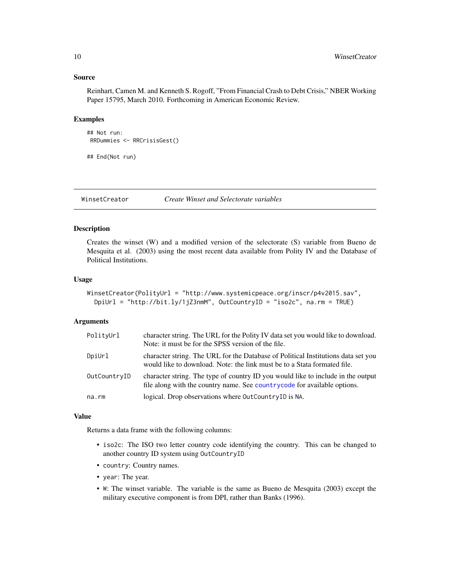#### <span id="page-9-0"></span>Source

Reinhart, Camen M. and Kenneth S. Rogoff, "From Financial Crash to Debt Crisis," NBER Working Paper 15795, March 2010. Forthcoming in American Economic Review.

#### Examples

```
## Not run:
RRDummies <- RRCrisisGest()
```
## End(Not run)

<span id="page-9-1"></span>WinsetCreator *Create Winset and Selectorate variables*

#### Description

Creates the winset (W) and a modified version of the selectorate (S) variable from Bueno de Mesquita et al. (2003) using the most recent data available from Polity IV and the Database of Political Institutions.

#### Usage

```
WinsetCreator(PolityUrl = "http://www.systemicpeace.org/inscr/p4v2015.sav",
 DpiUrl = "http://bit.ly/1jZ3nmM", OutCountryID = "iso2c", na.rm = TRUE)
```
#### Arguments

| PolityUrl    | character string. The URL for the Polity IV data set you would like to download.<br>Note: it must be for the SPSS version of the file.                        |
|--------------|---------------------------------------------------------------------------------------------------------------------------------------------------------------|
| DpiUrl       | character string. The URL for the Database of Political Institutions data set you<br>would like to download. Note: the link must be to a Stata formated file. |
| OutCountryID | character string. The type of country ID you would like to include in the output<br>file along with the country name. See countrycode for available options.  |
| na.rm        | logical. Drop observations where OutCountryID is NA.                                                                                                          |

#### Value

Returns a data frame with the following columns:

- iso2c: The ISO two letter country code identifying the country. This can be changed to another country ID system using OutCountryID
- country: Country names.
- year: The year.
- W: The winset variable. The variable is the same as Bueno de Mesquita (2003) except the military executive component is from DPI, rather than Banks (1996).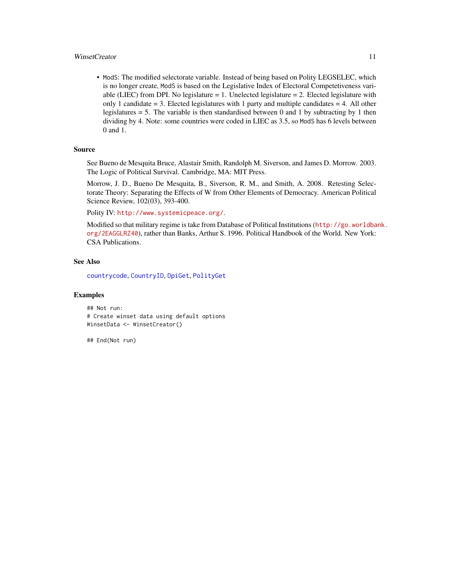#### <span id="page-10-0"></span>WinsetCreator 11

• ModS: The modified selectorate variable. Instead of being based on Polity LEGSELEC, which is no longer create, ModS is based on the Legislative Index of Electoral Competetiveness variable (LIEC) from DPI. No legislature  $= 1$ . Unelected legislature  $= 2$ . Elected legislature with only 1 candidate  $= 3$ . Elected legislatures with 1 party and multiple candidates  $= 4$ . All other legislatures  $= 5$ . The variable is then standardised between 0 and 1 by subtracting by 1 then dividing by 4. Note: some countries were coded in LIEC as 3.5, so ModS has 6 levels between 0 and 1.

#### Source

See Bueno de Mesquita Bruce, Alastair Smith, Randolph M. Siverson, and James D. Morrow. 2003. The Logic of Political Survival. Cambridge, MA: MIT Press.

Morrow, J. D., Bueno De Mesquita, B., Siverson, R. M., and Smith, A. 2008. Retesting Selectorate Theory: Separating the Effects of W from Other Elements of Democracy. American Political Science Review, 102(03), 393-400.

Polity IV: <http://www.systemicpeace.org/>.

Modified so that military regime is take from Database of Political Institutions ([http://go.worldba](http://go.worldbank.org/2EAGGLRZ40)nk. [org/2EAGGLRZ40](http://go.worldbank.org/2EAGGLRZ40)), rather than Banks, Arthur S. 1996. Political Handbook of the World. New York: CSA Publications.

#### See Also

[countrycode](#page-0-0), [CountryID](#page-1-1), [DpiGet](#page-3-1), [PolityGet](#page-6-1)

#### Examples

```
## Not run:
# Create winset data using default options
WinsetData <- WinsetCreator()
```
## End(Not run)